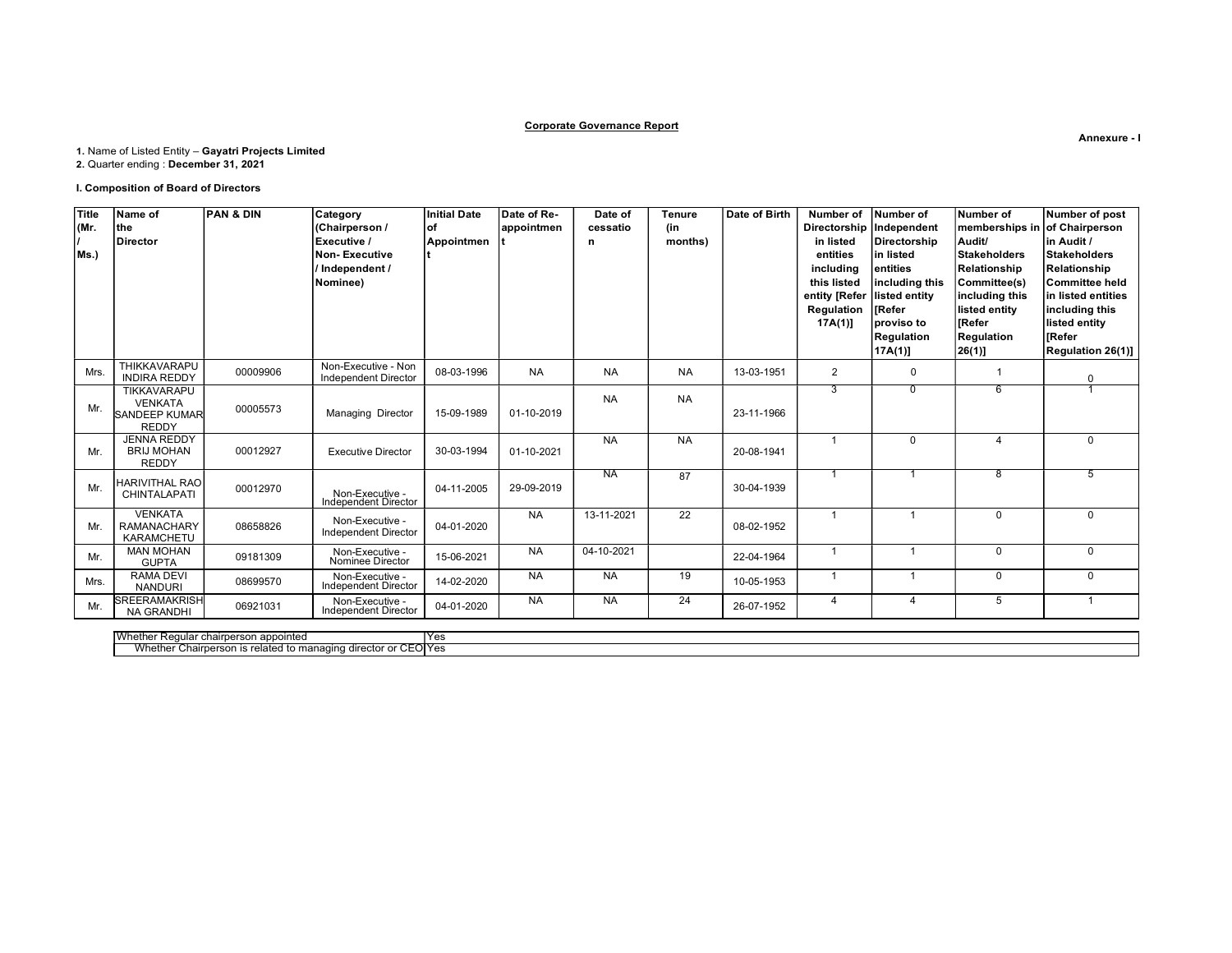## Corporate Governance Report

# 1. Name of Listed Entity – Gayatri Projects Limited

2. Quarter ending : December 31, 2021

## I. Composition of Board of Directors

| <b>Title</b> | Name of                                 | <b>PAN &amp; DIN</b> | Category                                           | Initial Date | Date of Re- | Date of    | <b>Tenure</b> | Date of Birth | Number of                  | Number of                | Number of                     | Number of post           |
|--------------|-----------------------------------------|----------------------|----------------------------------------------------|--------------|-------------|------------|---------------|---------------|----------------------------|--------------------------|-------------------------------|--------------------------|
| (Mr.         | the                                     |                      | (Chairperson /                                     | lof          | appointmen  | cessatio   | (in           |               | Directorship   Independent |                          | memberships in of Chairperson |                          |
|              | <b>Director</b>                         |                      | Executive /                                        | Appointmen   |             | n          | months)       |               | in listed                  | Directorship             | Audit/                        | in Audit /               |
| Ms.)         |                                         |                      | <b>Non-Executive</b>                               |              |             |            |               |               | entities                   | lin listed               | Stakeholders                  | Stakeholders             |
|              |                                         |                      | Independent /                                      |              |             |            |               |               | including                  | lentities                | Relationship                  | Relationship             |
|              |                                         |                      | Nominee)                                           |              |             |            |               |               | this listed                | including this           | Committee(s)                  | Committee held           |
|              |                                         |                      |                                                    |              |             |            |               |               | entity [Refer              | listed entity            | including this                | in listed entities       |
|              |                                         |                      |                                                    |              |             |            |               |               | <b>Regulation</b>          | <b>IRefer</b>            | listed entity                 | including this           |
|              |                                         |                      |                                                    |              |             |            |               |               | $17A(1)$ ]                 | proviso to               | <b>IRefer</b>                 | listed entity            |
|              |                                         |                      |                                                    |              |             |            |               |               |                            | Regulation               | Regulation                    | l rRefer                 |
|              |                                         |                      |                                                    |              |             |            |               |               |                            | [17A(1)]                 | 26(1)                         | <b>Regulation 26(1)]</b> |
| Mrs.         | THIKKAVARAPU<br><b>INDIRA REDDY</b>     | 00009906             | Non-Executive - Non<br><b>Independent Director</b> | 08-03-1996   | <b>NA</b>   | <b>NA</b>  | <b>NA</b>     | 13-03-1951    | 2                          | $\mathbf{0}$             |                               | $\Omega$                 |
|              | TIKKAVARAPU                             |                      |                                                    |              |             | <b>NA</b>  | <b>NA</b>     |               | 3                          | $\Omega$                 | 6                             |                          |
| Mr.          | <b>VENKATA</b>                          | 00005573             | <b>Managing Director</b>                           | 15-09-1989   | 01-10-2019  |            |               | 23-11-1966    |                            |                          |                               |                          |
|              | <b>SANDEEP KUMAR</b><br><b>REDDY</b>    |                      |                                                    |              |             |            |               |               |                            |                          |                               |                          |
|              | <b>JENNA REDDY</b>                      |                      |                                                    |              |             | <b>NA</b>  | <b>NA</b>     |               |                            | $\Omega$                 | $\overline{\mathbf{A}}$       | $\Omega$                 |
| Mr.          | <b>BRIJ MOHAN</b>                       | 00012927             | <b>Executive Director</b>                          | 30-03-1994   | 01-10-2021  |            |               | 20-08-1941    |                            |                          |                               |                          |
|              | <b>REDDY</b>                            |                      |                                                    |              |             |            |               |               |                            |                          |                               |                          |
|              |                                         |                      |                                                    |              |             | <b>NA</b>  | 87            |               |                            |                          | 8                             | 5                        |
| Mr.          | HARIVITHAL RAO<br>CHINTALAPATI          | 00012970             |                                                    | 04-11-2005   | 29-09-2019  |            |               | 30-04-1939    |                            |                          |                               |                          |
|              |                                         |                      | Non-Executive -<br>Independent Director            |              |             |            |               |               |                            |                          |                               |                          |
|              | <b>VENKATA</b>                          |                      | Non-Executive -                                    |              | <b>NA</b>   | 13-11-2021 | 22            |               |                            |                          | $\mathbf 0$                   | $\mathbf 0$              |
| Mr.          | <b>RAMANACHARY</b><br><b>KARAMCHETU</b> | 08658826             | Independent Director                               | 04-01-2020   |             |            |               | 08-02-1952    |                            |                          |                               |                          |
|              | <b>MAN MOHAN</b>                        |                      |                                                    |              | <b>NA</b>   | 04-10-2021 |               |               |                            |                          | $\mathbf 0$                   | 0                        |
| Mr.          | <b>GUPTA</b>                            | 09181309             | Non-Executive -<br>Nominee Director                | 15-06-2021   |             |            |               | 22-04-1964    |                            |                          |                               |                          |
|              | <b>RAMA DEVI</b>                        |                      |                                                    |              | <b>NA</b>   | <b>NA</b>  | 19            |               | $\mathbf{1}$               | $\overline{ }$           | $\mathbf 0$                   | $\mathbf 0$              |
| Mrs.         | <b>NANDURI</b>                          | 08699570             | Non-Executive -<br>Independent Director            | 14-02-2020   |             |            |               | 10-05-1953    |                            |                          |                               |                          |
| Mr.          | <b>SREERAMAKRISH</b>                    | 06921031             | Non-Executive -                                    | 04-01-2020   | <b>NA</b>   | <b>NA</b>  | 24            | 26-07-1952    | $\overline{4}$             | $\overline{\mathcal{A}}$ | 5                             | $\overline{1}$           |
|              | <b>NA GRANDHI</b>                       |                      | Independent Director                               |              |             |            |               |               |                            |                          |                               |                          |

Whether Regular chairperson appointed Yes Whether Chairperson is related to managing director or CEO Yes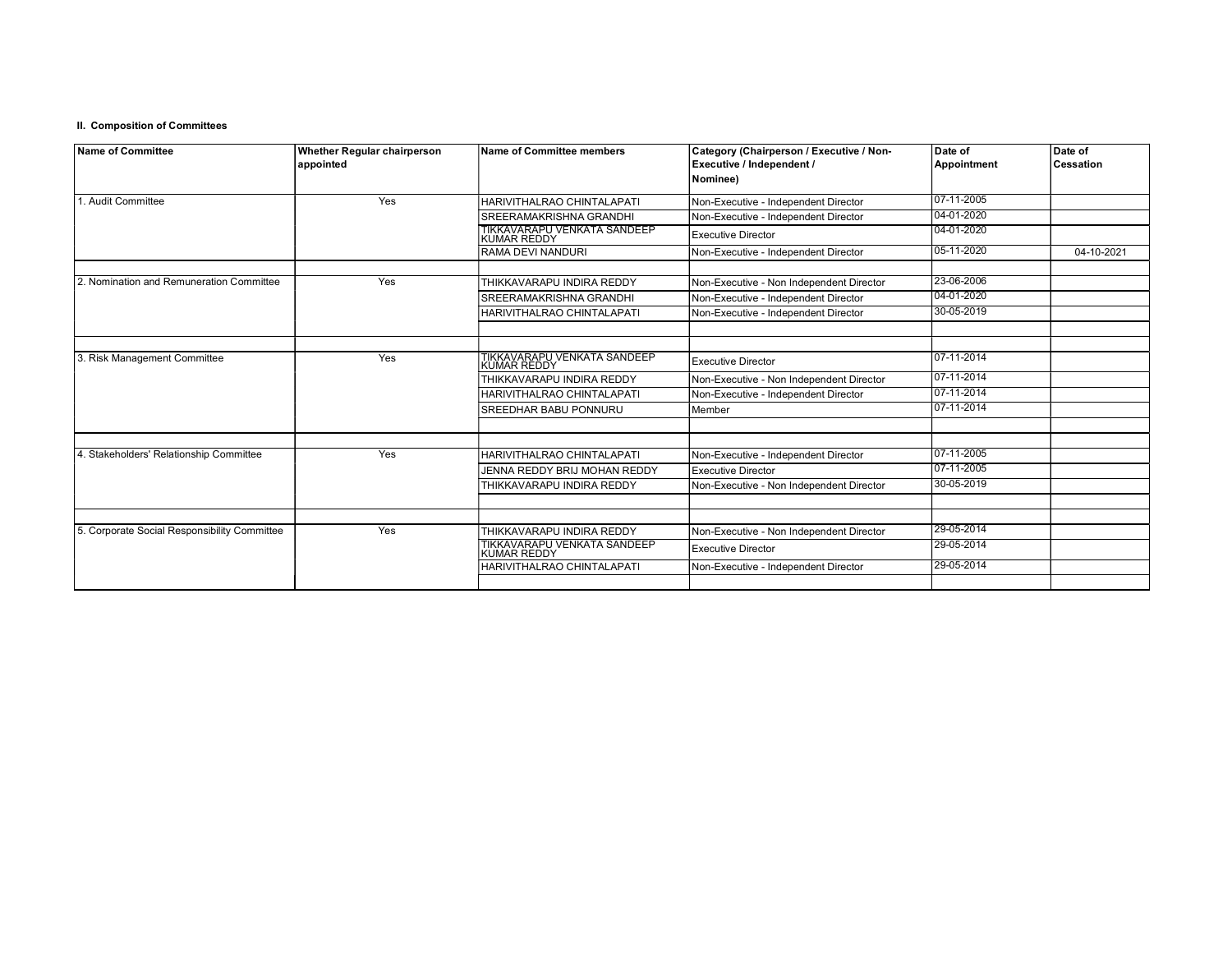## II. Composition of Committees

| Name of Committee                            | Whether Regular chairperson<br>appointed | <b>Name of Committee members</b>                  | Category (Chairperson / Executive / Non-<br>Executive / Independent / | Date of<br>Appointment | Date of<br><b>Cessation</b> |  |
|----------------------------------------------|------------------------------------------|---------------------------------------------------|-----------------------------------------------------------------------|------------------------|-----------------------------|--|
|                                              |                                          |                                                   | Nominee)                                                              |                        |                             |  |
| 1. Audit Committee                           | Yes                                      | HARIVITHALRAO CHINTALAPATI                        | Non-Executive - Independent Director                                  | 07-11-2005             |                             |  |
|                                              |                                          | SREERAMAKRISHNA GRANDHI                           | Non-Executive - Independent Director                                  | 04-01-2020             |                             |  |
|                                              |                                          | TIKKAVARAPU VENKATA SANDEEP<br>KUMAR REDDY        | <b>Executive Director</b>                                             | 04-01-2020             |                             |  |
|                                              |                                          | RAMA DEVI NANDURI                                 | Non-Executive - Independent Director                                  | 05-11-2020             | 04-10-2021                  |  |
| 2. Nomination and Remuneration Committee     | Yes                                      | THIKKAVARAPU INDIRA REDDY                         | Non-Executive - Non Independent Director                              | 23-06-2006             |                             |  |
|                                              |                                          | SREERAMAKRISHNA GRANDHI                           | Non-Executive - Independent Director                                  | 04-01-2020             |                             |  |
|                                              |                                          | HARIVITHALRAO CHINTALAPATI                        | Non-Executive - Independent Director                                  | 30-05-2019             |                             |  |
|                                              |                                          |                                                   |                                                                       |                        |                             |  |
| 3. Risk Management Committee                 | Yes                                      | TIKKAVARAPU VENKATA SANDEEP<br><b>KUMAR REDDY</b> | <b>Executive Director</b>                                             | 107-11-2014            |                             |  |
|                                              |                                          | THIKKAVARAPU INDIRA REDDY                         | Non-Executive - Non Independent Director                              | 07-11-2014             |                             |  |
|                                              |                                          | HARIVITHALRAO CHINTALAPATI                        | Non-Executive - Independent Director                                  | 07-11-2014             |                             |  |
|                                              |                                          | SREEDHAR BABU PONNURU                             | Member                                                                | 07-11-2014             |                             |  |
|                                              |                                          |                                                   |                                                                       |                        |                             |  |
| 4. Stakeholders' Relationship Committee      | Yes                                      | HARIVITHALRAO CHINTALAPATI                        | Non-Executive - Independent Director                                  | 07-11-2005             |                             |  |
|                                              |                                          | JENNA REDDY BRIJ MOHAN REDDY                      | Executive Director                                                    | 07-11-2005             |                             |  |
|                                              |                                          | THIKKAVARAPU INDIRA REDDY                         | Non-Executive - Non Independent Director                              | 30-05-2019             |                             |  |
|                                              |                                          |                                                   |                                                                       |                        |                             |  |
| 5. Corporate Social Responsibility Committee | Yes                                      | THIKKAVARAPU INDIRA REDDY                         | Non-Executive - Non Independent Director                              | 29-05-2014             |                             |  |
|                                              |                                          | TIKKAVARAPU VENKATA SANDEEP<br>KUMAR REDDY        | <b>Executive Director</b>                                             | 29-05-2014             |                             |  |
|                                              |                                          | HARIVITHALRAO CHINTALAPATI                        | Non-Executive - Independent Director                                  | 29-05-2014             |                             |  |
|                                              |                                          |                                                   |                                                                       |                        |                             |  |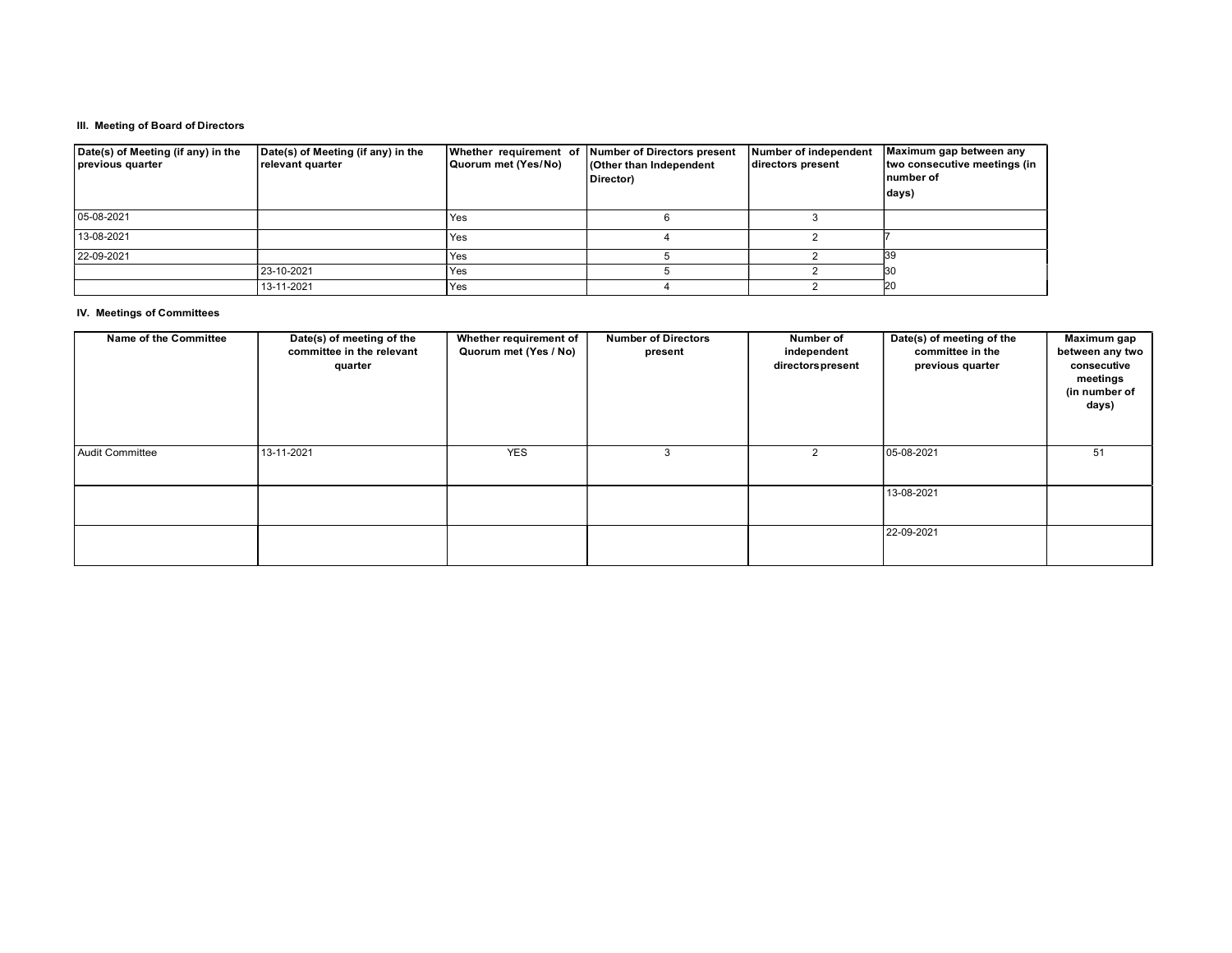## III. Meeting of Board of Directors

| Date(s) of Meeting (if any) in the<br>previous quarter | Date(s) of Meeting (if any) in the<br>relevant quarter | Quorum met (Yes/No) | Whether requirement of Number of Directors present<br><b>Cother than Independent</b><br>Director) | Number of independent<br>directors present | Maximum gap between any<br>two consecutive meetings (in<br>number of<br>days) |
|--------------------------------------------------------|--------------------------------------------------------|---------------------|---------------------------------------------------------------------------------------------------|--------------------------------------------|-------------------------------------------------------------------------------|
| 05-08-2021                                             |                                                        | l Yes               |                                                                                                   |                                            |                                                                               |
| 13-08-2021                                             |                                                        | l Yes               |                                                                                                   |                                            |                                                                               |
| 22-09-2021                                             |                                                        | l Yes               |                                                                                                   |                                            |                                                                               |
|                                                        | 23-10-2021                                             | l Yes               |                                                                                                   |                                            |                                                                               |
|                                                        | 13-11-2021                                             | Yes                 |                                                                                                   |                                            | 20                                                                            |

## IV. Meetings of Committees

| Name of the Committee | Date(s) of meeting of the<br>committee in the relevant<br>quarter | Whether requirement of<br>Quorum met (Yes / No) | <b>Number of Directors</b><br>present | Number of<br>independent<br>directors present | Date(s) of meeting of the<br>committee in the<br>previous quarter | Maximum gap<br>between any two<br>consecutive<br>meetings<br>(in number of<br>days) |
|-----------------------|-------------------------------------------------------------------|-------------------------------------------------|---------------------------------------|-----------------------------------------------|-------------------------------------------------------------------|-------------------------------------------------------------------------------------|
| Audit Committee       | 13-11-2021                                                        | <b>YES</b>                                      |                                       |                                               | 05-08-2021                                                        | 51                                                                                  |
|                       |                                                                   |                                                 |                                       |                                               | 13-08-2021                                                        |                                                                                     |
|                       |                                                                   |                                                 |                                       |                                               | 22-09-2021                                                        |                                                                                     |